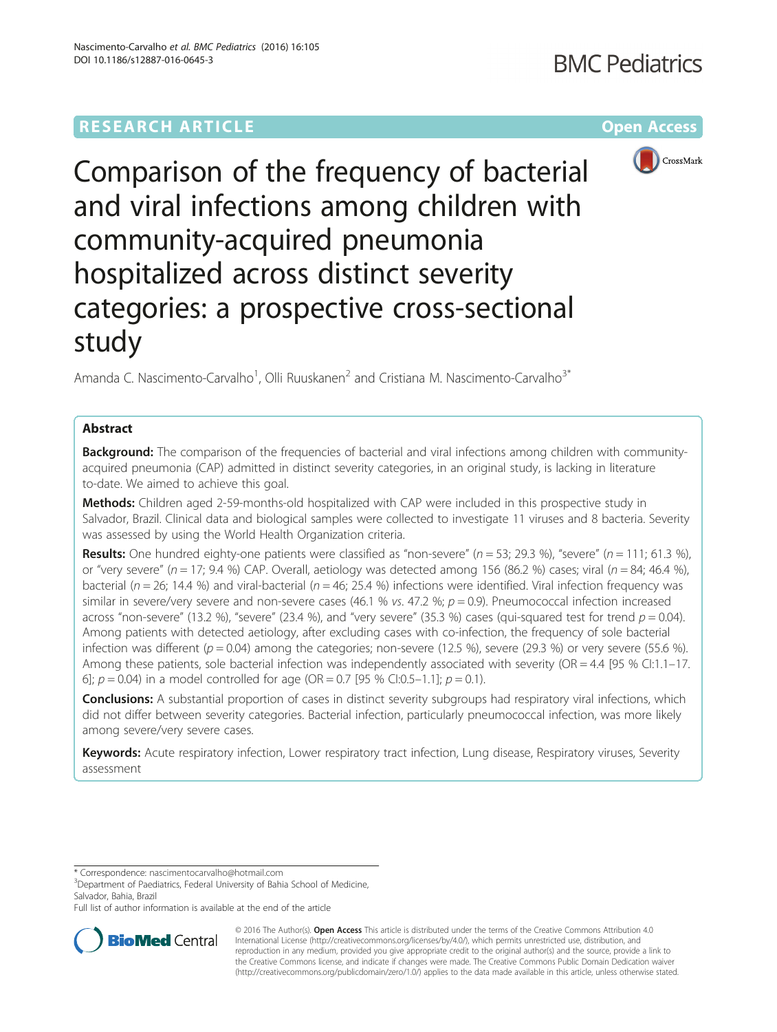# **RESEARCH ARTICLE Example 2014 12:30 The Community Community Community Community Community Community Community**



Comparison of the frequency of bacterial and viral infections among children with community-acquired pneumonia hospitalized across distinct severity categories: a prospective cross-sectional study

Amanda C. Nascimento-Carvalho<sup>1</sup>, Olli Ruuskanen<sup>2</sup> and Cristiana M. Nascimento-Carvalho<sup>3\*</sup>

## Abstract

**Background:** The comparison of the frequencies of bacterial and viral infections among children with communityacquired pneumonia (CAP) admitted in distinct severity categories, in an original study, is lacking in literature to-date. We aimed to achieve this goal.

Methods: Children aged 2-59-months-old hospitalized with CAP were included in this prospective study in Salvador, Brazil. Clinical data and biological samples were collected to investigate 11 viruses and 8 bacteria. Severity was assessed by using the World Health Organization criteria.

Results: One hundred eighty-one patients were classified as "non-severe" ( $n = 53$ ; 29.3 %), "severe" ( $n = 111$ ; 61.3 %), or "very severe" (n = 17; 9.4 %) CAP. Overall, aetiology was detected among 156 (86.2 %) cases; viral (n = 84; 46.4 %), bacterial ( $n = 26$ ; 14.4 %) and viral-bacterial ( $n = 46$ ; 25.4 %) infections were identified. Viral infection frequency was similar in severe/very severe and non-severe cases (46.1 % vs. 47.2 %;  $p = 0.9$ ). Pneumococcal infection increased across "non-severe" (13.2 %), "severe" (23.4 %), and "very severe" (35.3 %) cases (qui-squared test for trend  $p = 0.04$ ). Among patients with detected aetiology, after excluding cases with co-infection, the frequency of sole bacterial infection was different ( $p = 0.04$ ) among the categories; non-severe (12.5 %), severe (29.3 %) or very severe (55.6 %). Among these patients, sole bacterial infection was independently associated with severity (OR = 4.4 [95 % CI:1.1–17. 6];  $p = 0.04$ ) in a model controlled for age (OR = 0.7 [95 % CI:0.5–1.1];  $p = 0.1$ ).

**Conclusions:** A substantial proportion of cases in distinct severity subgroups had respiratory viral infections, which did not differ between severity categories. Bacterial infection, particularly pneumococcal infection, was more likely among severe/very severe cases.

Keywords: Acute respiratory infection, Lower respiratory tract infection, Lung disease, Respiratory viruses, Severity assessment

\* Correspondence: [nascimentocarvalho@hotmail.com](mailto:nascimentocarvalho@hotmail.com) <sup>3</sup>

<sup>3</sup>Department of Paediatrics, Federal University of Bahia School of Medicine, Salvador, Bahia, Brazil

Full list of author information is available at the end of the article



© 2016 The Author(s). Open Access This article is distributed under the terms of the Creative Commons Attribution 4.0 International License [\(http://creativecommons.org/licenses/by/4.0/](http://creativecommons.org/licenses/by/4.0/)), which permits unrestricted use, distribution, and reproduction in any medium, provided you give appropriate credit to the original author(s) and the source, provide a link to the Creative Commons license, and indicate if changes were made. The Creative Commons Public Domain Dedication waiver [\(http://creativecommons.org/publicdomain/zero/1.0/](http://creativecommons.org/publicdomain/zero/1.0/)) applies to the data made available in this article, unless otherwise stated.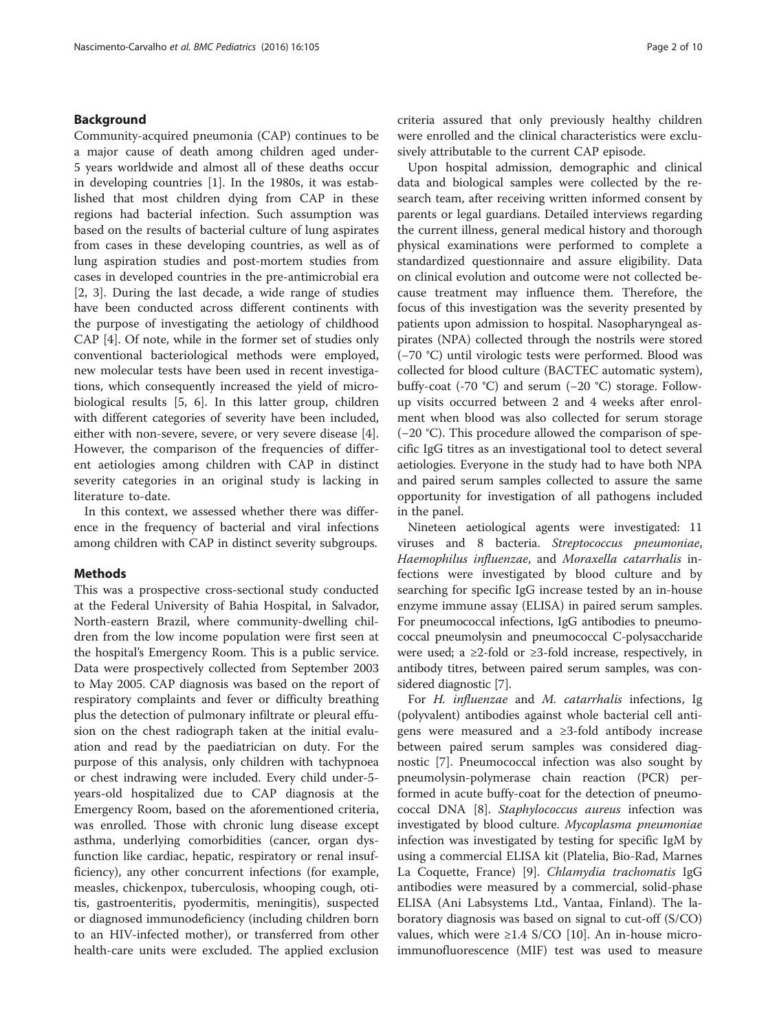## Background

Community-acquired pneumonia (CAP) continues to be a major cause of death among children aged under-5 years worldwide and almost all of these deaths occur in developing countries [\[1](#page-8-0)]. In the 1980s, it was established that most children dying from CAP in these regions had bacterial infection. Such assumption was based on the results of bacterial culture of lung aspirates from cases in these developing countries, as well as of lung aspiration studies and post-mortem studies from cases in developed countries in the pre-antimicrobial era [[2,](#page-8-0) [3](#page-9-0)]. During the last decade, a wide range of studies have been conducted across different continents with the purpose of investigating the aetiology of childhood CAP [\[4](#page-9-0)]. Of note, while in the former set of studies only conventional bacteriological methods were employed, new molecular tests have been used in recent investigations, which consequently increased the yield of microbiological results [\[5](#page-9-0), [6\]](#page-9-0). In this latter group, children with different categories of severity have been included, either with non-severe, severe, or very severe disease [\[4](#page-9-0)]. However, the comparison of the frequencies of different aetiologies among children with CAP in distinct severity categories in an original study is lacking in literature to-date.

In this context, we assessed whether there was difference in the frequency of bacterial and viral infections among children with CAP in distinct severity subgroups.

### Methods

This was a prospective cross-sectional study conducted at the Federal University of Bahia Hospital, in Salvador, North-eastern Brazil, where community-dwelling children from the low income population were first seen at the hospital's Emergency Room. This is a public service. Data were prospectively collected from September 2003 to May 2005. CAP diagnosis was based on the report of respiratory complaints and fever or difficulty breathing plus the detection of pulmonary infiltrate or pleural effusion on the chest radiograph taken at the initial evaluation and read by the paediatrician on duty. For the purpose of this analysis, only children with tachypnoea or chest indrawing were included. Every child under-5 years-old hospitalized due to CAP diagnosis at the Emergency Room, based on the aforementioned criteria, was enrolled. Those with chronic lung disease except asthma, underlying comorbidities (cancer, organ dysfunction like cardiac, hepatic, respiratory or renal insufficiency), any other concurrent infections (for example, measles, chickenpox, tuberculosis, whooping cough, otitis, gastroenteritis, pyodermitis, meningitis), suspected or diagnosed immunodeficiency (including children born to an HIV-infected mother), or transferred from other health-care units were excluded. The applied exclusion criteria assured that only previously healthy children were enrolled and the clinical characteristics were exclusively attributable to the current CAP episode.

Upon hospital admission, demographic and clinical data and biological samples were collected by the research team, after receiving written informed consent by parents or legal guardians. Detailed interviews regarding the current illness, general medical history and thorough physical examinations were performed to complete a standardized questionnaire and assure eligibility. Data on clinical evolution and outcome were not collected because treatment may influence them. Therefore, the focus of this investigation was the severity presented by patients upon admission to hospital. Nasopharyngeal aspirates (NPA) collected through the nostrils were stored (−70 °C) until virologic tests were performed. Blood was collected for blood culture (BACTEC automatic system), buffy-coat (-70 °C) and serum (−20 °C) storage. Followup visits occurred between 2 and 4 weeks after enrolment when blood was also collected for serum storage (−20 °C). This procedure allowed the comparison of specific IgG titres as an investigational tool to detect several aetiologies. Everyone in the study had to have both NPA and paired serum samples collected to assure the same opportunity for investigation of all pathogens included in the panel.

Nineteen aetiological agents were investigated: 11 viruses and 8 bacteria. Streptococcus pneumoniae, Haemophilus influenzae, and Moraxella catarrhalis infections were investigated by blood culture and by searching for specific IgG increase tested by an in-house enzyme immune assay (ELISA) in paired serum samples. For pneumococcal infections, IgG antibodies to pneumococcal pneumolysin and pneumococcal C-polysaccharide were used; a  $\geq$ 2-fold or  $\geq$ 3-fold increase, respectively, in antibody titres, between paired serum samples, was considered diagnostic [\[7](#page-9-0)].

For H. influenzae and M. catarrhalis infections, Ig (polyvalent) antibodies against whole bacterial cell antigens were measured and a ≥3-fold antibody increase between paired serum samples was considered diagnostic [\[7\]](#page-9-0). Pneumococcal infection was also sought by pneumolysin-polymerase chain reaction (PCR) performed in acute buffy-coat for the detection of pneumo-coccal DNA [\[8](#page-9-0)]. Staphylococcus aureus infection was investigated by blood culture. Mycoplasma pneumoniae infection was investigated by testing for specific IgM by using a commercial ELISA kit (Platelia, Bio-Rad, Marnes La Coquette, France) [[9\]](#page-9-0). Chlamydia trachomatis IgG antibodies were measured by a commercial, solid-phase ELISA (Ani Labsystems Ltd., Vantaa, Finland). The laboratory diagnosis was based on signal to cut-off (S/CO) values, which were  $\geq$ 1.4 S/CO [\[10](#page-9-0)]. An in-house microimmunofluorescence (MIF) test was used to measure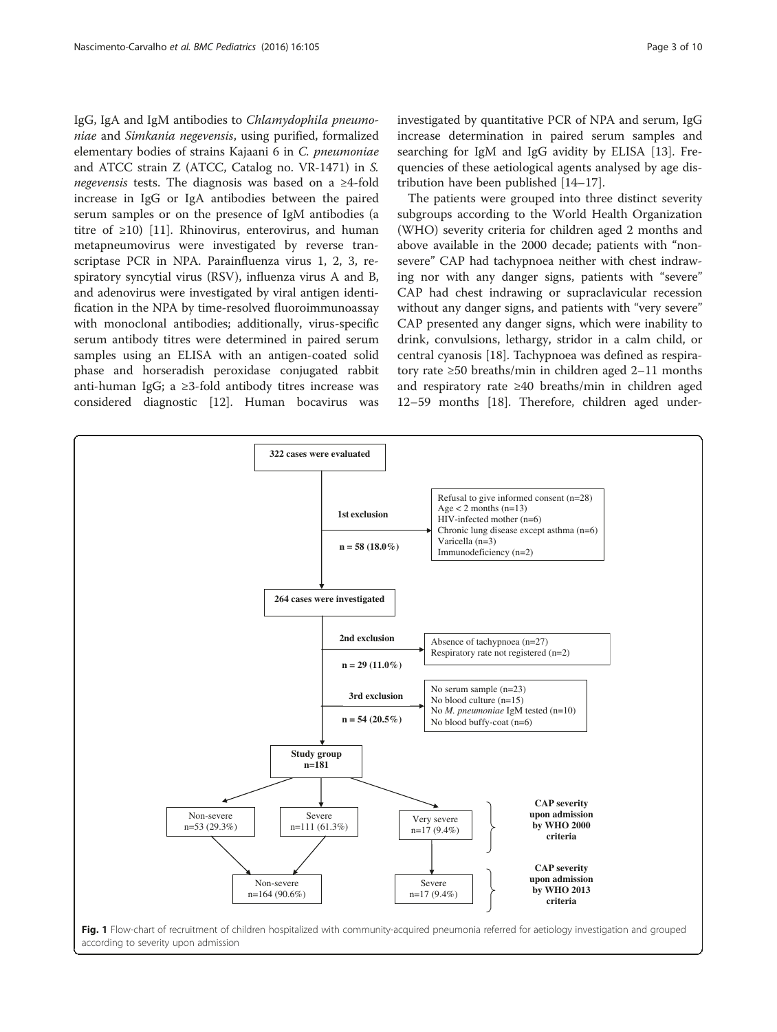<span id="page-2-0"></span>IgG, IgA and IgM antibodies to Chlamydophila pneumoniae and Simkania negevensis, using purified, formalized elementary bodies of strains Kajaani 6 in C. pneumoniae and ATCC strain Z (ATCC, Catalog no. VR-1471) in S. negevensis tests. The diagnosis was based on a ≥4-fold increase in IgG or IgA antibodies between the paired serum samples or on the presence of IgM antibodies (a titre of  $\geq$ 10) [[11](#page-9-0)]. Rhinovirus, enterovirus, and human metapneumovirus were investigated by reverse transcriptase PCR in NPA. Parainfluenza virus 1, 2, 3, respiratory syncytial virus (RSV), influenza virus A and B, and adenovirus were investigated by viral antigen identification in the NPA by time-resolved fluoroimmunoassay with monoclonal antibodies; additionally, virus-specific serum antibody titres were determined in paired serum samples using an ELISA with an antigen-coated solid phase and horseradish peroxidase conjugated rabbit anti-human IgG; a ≥3-fold antibody titres increase was considered diagnostic [\[12](#page-9-0)]. Human bocavirus was

investigated by quantitative PCR of NPA and serum, IgG increase determination in paired serum samples and searching for IgM and IgG avidity by ELISA [\[13](#page-9-0)]. Frequencies of these aetiological agents analysed by age distribution have been published [\[14](#page-9-0)–[17\]](#page-9-0).

The patients were grouped into three distinct severity subgroups according to the World Health Organization (WHO) severity criteria for children aged 2 months and above available in the 2000 decade; patients with "nonsevere" CAP had tachypnoea neither with chest indrawing nor with any danger signs, patients with "severe" CAP had chest indrawing or supraclavicular recession without any danger signs, and patients with "very severe" CAP presented any danger signs, which were inability to drink, convulsions, lethargy, stridor in a calm child, or central cyanosis [[18](#page-9-0)]. Tachypnoea was defined as respiratory rate ≥50 breaths/min in children aged 2–11 months and respiratory rate ≥40 breaths/min in children aged 12–59 months [[18\]](#page-9-0). Therefore, children aged under-



according to severity upon admission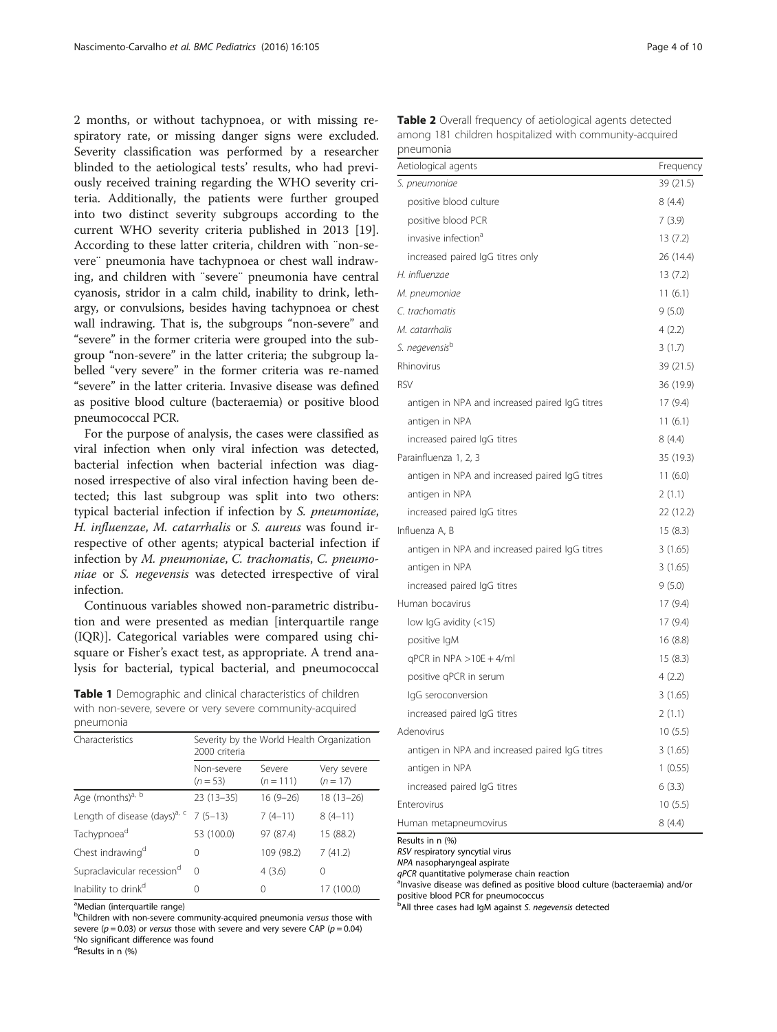<span id="page-3-0"></span>2 months, or without tachypnoea, or with missing respiratory rate, or missing danger signs were excluded. Severity classification was performed by a researcher blinded to the aetiological tests' results, who had previously received training regarding the WHO severity criteria. Additionally, the patients were further grouped into two distinct severity subgroups according to the current WHO severity criteria published in 2013 [\[19](#page-9-0)]. According to these latter criteria, children with ¨non-severe¨ pneumonia have tachypnoea or chest wall indrawing, and children with ¨severe¨ pneumonia have central cyanosis, stridor in a calm child, inability to drink, lethargy, or convulsions, besides having tachypnoea or chest wall indrawing. That is, the subgroups "non-severe" and "severe" in the former criteria were grouped into the subgroup "non-severe" in the latter criteria; the subgroup labelled "very severe" in the former criteria was re-named "severe" in the latter criteria. Invasive disease was defined as positive blood culture (bacteraemia) or positive blood pneumococcal PCR.

For the purpose of analysis, the cases were classified as viral infection when only viral infection was detected, bacterial infection when bacterial infection was diagnosed irrespective of also viral infection having been detected; this last subgroup was split into two others: typical bacterial infection if infection by S. pneumoniae, H. influenzae, M. catarrhalis or S. aureus was found irrespective of other agents; atypical bacterial infection if infection by M. pneumoniae, C. trachomatis, C. pneumoniae or S. negevensis was detected irrespective of viral infection.

Continuous variables showed non-parametric distribution and were presented as median [interquartile range (IQR)]. Categorical variables were compared using chisquare or Fisher's exact test, as appropriate. A trend analysis for bacterial, typical bacterial, and pneumococcal

| Table 1 Demographic and clinical characteristics of children |  |
|--------------------------------------------------------------|--|
| with non-severe, severe or very severe community-acquired    |  |
| pneumonia                                                    |  |

| Characteristics                          | Severity by the World Health Organization<br>2000 criteria |                       |                           |
|------------------------------------------|------------------------------------------------------------|-----------------------|---------------------------|
|                                          | Non-severe<br>$(n=53)$                                     | Severe<br>$(n = 111)$ | Very severe<br>$(n = 17)$ |
| Age (months) <sup>a, b</sup>             | $23(13-35)$                                                | $16(9-26)$            | $18(13 - 26)$             |
| Length of disease (days) <sup>a, c</sup> | $7(5-13)$                                                  | $7(4-11)$             | $8(4-11)$                 |
| Tachypnoea <sup>d</sup>                  | 53 (100.0)                                                 | 97 (87.4)             | 15 (88.2)                 |
| Chest indrawing <sup>d</sup>             | 0                                                          | 109 (98.2)            | 7(41.2)                   |
| Supraclavicular recession <sup>d</sup>   | $\Omega$                                                   | 4(3.6)                | 0                         |
| Inability to drink <sup>d</sup>          | Ω                                                          | 0                     | 17 (100.0)                |

<sup>a</sup>Median (interquartile range)

<sup>b</sup>Children with non-severe community-acquired pneumonia versus those with severe ( $p = 0.03$ ) or versus those with severe and very severe CAP ( $p = 0.04$ ) No significant difference was found

d Results in n (%)

|           | <b>Table 2</b> Overall frequency of aetiological agents detected |
|-----------|------------------------------------------------------------------|
|           | among 181 children hospitalized with community-acquired          |
| pneumonia |                                                                  |

| Aetiological agents                            | Frequency |
|------------------------------------------------|-----------|
| S. pneumoniae                                  | 39 (21.5) |
| positive blood culture                         | 8(4.4)    |
| positive blood PCR                             | 7(3.9)    |
| invasive infection <sup>a</sup>                | 13(7.2)   |
| increased paired IgG titres only               | 26 (14.4) |
| H. influenzae                                  | 13(7.2)   |
| M. pneumoniae                                  | 11(6.1)   |
| C. trachomatis                                 | 9(5.0)    |
| M. catarrhalis                                 | 4(2.2)    |
| S. negevensisb                                 | 3(1.7)    |
| Rhinovirus                                     | 39 (21.5) |
| <b>RSV</b>                                     | 36 (19.9) |
| antigen in NPA and increased paired IgG titres | 17(9.4)   |
| antigen in NPA                                 | 11(6.1)   |
| increased paired IgG titres                    | 8(4.4)    |
| Parainfluenza 1, 2, 3                          | 35 (19.3) |
| antigen in NPA and increased paired IgG titres | 11(6.0)   |
| antigen in NPA                                 | 2(1.1)    |
| increased paired IgG titres                    | 22 (12.2) |
| Influenza A, B                                 | 15(8.3)   |
| antigen in NPA and increased paired IgG titres | 3(1.65)   |
| antigen in NPA                                 | 3(1.65)   |
| increased paired IgG titres                    | 9(5.0)    |
| Human bocavirus                                | 17(9.4)   |
| low IgG avidity (<15)                          | 17(9.4)   |
| positive IgM                                   | 16(8.8)   |
| $qPCR$ in NPA $>10E + 4/ml$                    | 15(8.3)   |
| positive qPCR in serum                         | 4(2.2)    |
| IgG seroconversion                             | 3(1.65)   |
| increased paired IgG titres                    | 2(1.1)    |
| Adenovirus                                     | 10(5.5)   |
| antigen in NPA and increased paired IgG titres | 3(1.65)   |
| antigen in NPA                                 | 1(0.55)   |
| increased paired IgG titres                    | 6(3.3)    |
| Enterovirus                                    | 10(5.5)   |
| Human metapneumovirus                          | 8(4.4)    |

Results in n (%)

RSV respiratory syncytial virus

NPA nasopharyngeal aspirate

 $q$ PCR quantitative polymerase chain reaction

<sup>a</sup>Invasive disease was defined as positive blood culture (bacteraemia) and/or positive blood PCR for pneumococcus

<sup>b</sup>All three cases had IgM against S. negevensis detected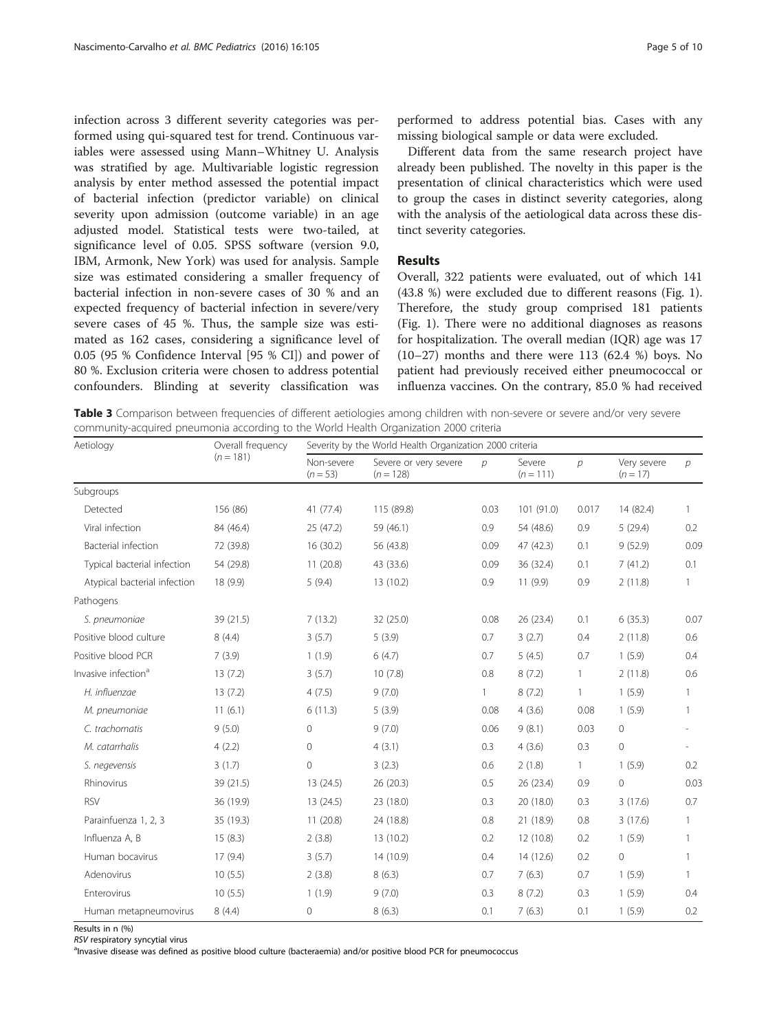<span id="page-4-0"></span>infection across 3 different severity categories was performed using qui-squared test for trend. Continuous variables were assessed using Mann–Whitney U. Analysis was stratified by age. Multivariable logistic regression analysis by enter method assessed the potential impact of bacterial infection (predictor variable) on clinical severity upon admission (outcome variable) in an age adjusted model. Statistical tests were two-tailed, at significance level of 0.05. SPSS software (version 9.0, IBM, Armonk, New York) was used for analysis. Sample size was estimated considering a smaller frequency of bacterial infection in non-severe cases of 30 % and an expected frequency of bacterial infection in severe/very severe cases of 45 %. Thus, the sample size was estimated as 162 cases, considering a significance level of 0.05 (95 % Confidence Interval [95 % CI]) and power of 80 %. Exclusion criteria were chosen to address potential confounders. Blinding at severity classification was

performed to address potential bias. Cases with any missing biological sample or data were excluded.

Different data from the same research project have already been published. The novelty in this paper is the presentation of clinical characteristics which were used to group the cases in distinct severity categories, along with the analysis of the aetiological data across these distinct severity categories.

## Results

Overall, 322 patients were evaluated, out of which 141 (43.8 %) were excluded due to different reasons (Fig. [1](#page-2-0)). Therefore, the study group comprised 181 patients (Fig. [1](#page-2-0)). There were no additional diagnoses as reasons for hospitalization. The overall median (IQR) age was 17 (10–27) months and there were 113 (62.4 %) boys. No patient had previously received either pneumococcal or influenza vaccines. On the contrary, 85.0 % had received

Table 3 Comparison between frequencies of different aetiologies among children with non-severe or severe and/or very severe community-acquired pneumonia according to the World Health Organization 2000 criteria

| Aetiology                       | Overall frequency<br>Severity by the World Health Organization 2000 criteria |                          |                                      |               |                       |              |                           |                          |
|---------------------------------|------------------------------------------------------------------------------|--------------------------|--------------------------------------|---------------|-----------------------|--------------|---------------------------|--------------------------|
|                                 | $(n = 181)$                                                                  | Non-severe<br>$(n = 53)$ | Severe or very severe<br>$(n = 128)$ | $\mathcal{D}$ | Severe<br>$(n = 111)$ | р            | Very severe<br>$(n = 17)$ | $\mathcal{P}$            |
| Subgroups                       |                                                                              |                          |                                      |               |                       |              |                           |                          |
| Detected                        | 156 (86)                                                                     | 41 (77.4)                | 115 (89.8)                           | 0.03          | 101 (91.0)            | 0.017        | 14 (82.4)                 | $\mathbf{1}$             |
| Viral infection                 | 84 (46.4)                                                                    | 25 (47.2)                | 59 (46.1)                            | 0.9           | 54 (48.6)             | 0.9          | 5(29.4)                   | 0.2                      |
| Bacterial infection             | 72 (39.8)                                                                    | 16(30.2)                 | 56 (43.8)                            | 0.09          | 47 (42.3)             | 0.1          | 9(52.9)                   | 0.09                     |
| Typical bacterial infection     | 54 (29.8)                                                                    | 11(20.8)                 | 43 (33.6)                            | 0.09          | 36 (32.4)             | 0.1          | 7(41.2)                   | 0.1                      |
| Atypical bacterial infection    | 18 (9.9)                                                                     | 5(9.4)                   | 13 (10.2)                            | 0.9           | 11(9.9)               | 0.9          | 2(11.8)                   | $\mathbf{1}$             |
| Pathogens                       |                                                                              |                          |                                      |               |                       |              |                           |                          |
| S. pneumoniae                   | 39 (21.5)                                                                    | 7(13.2)                  | 32 (25.0)                            | 0.08          | 26 (23.4)             | 0.1          | 6(35.3)                   | 0.07                     |
| Positive blood culture          | 8(4.4)                                                                       | 3(5.7)                   | 5(3.9)                               | 0.7           | 3(2.7)                | 0.4          | 2(11.8)                   | 0.6                      |
| Positive blood PCR              | 7(3.9)                                                                       | 1(1.9)                   | 6(4.7)                               | 0.7           | 5(4.5)                | 0.7          | 1(5.9)                    | 0.4                      |
| Invasive infection <sup>a</sup> | 13(7.2)                                                                      | 3(5.7)                   | 10(7.8)                              | 0.8           | 8(7.2)                | $\mathbf{1}$ | 2(11.8)                   | 0.6                      |
| H. influenzae                   | 13(7.2)                                                                      | 4(7.5)                   | 9(7.0)                               | $\mathbf{1}$  | 8(7.2)                | $\mathbf{1}$ | 1(5.9)                    | $\mathbf{1}$             |
| M. pneumoniae                   | 11(6.1)                                                                      | 6(11.3)                  | 5(3.9)                               | 0.08          | 4(3.6)                | 0.08         | 1(5.9)                    | 1                        |
| C. trachomatis                  | 9(5.0)                                                                       | 0                        | 9(7.0)                               | 0.06          | 9(8.1)                | 0.03         | $\circ$                   | $\overline{\phantom{a}}$ |
| M. catarrhalis                  | 4(2.2)                                                                       | 0                        | 4(3.1)                               | 0.3           | 4(3.6)                | 0.3          | 0                         |                          |
| S. negevensis                   | 3(1.7)                                                                       | 0                        | 3(2.3)                               | 0.6           | 2(1.8)                | $\mathbf{1}$ | 1(5.9)                    | 0.2                      |
| Rhinovirus                      | 39 (21.5)                                                                    | 13 (24.5)                | 26 (20.3)                            | 0.5           | 26 (23.4)             | 0.9          | $\overline{0}$            | 0.03                     |
| <b>RSV</b>                      | 36 (19.9)                                                                    | 13 (24.5)                | 23 (18.0)                            | 0.3           | 20 (18.0)             | 0.3          | 3(17.6)                   | 0.7                      |
| Parainfuenza 1, 2, 3            | 35 (19.3)                                                                    | 11(20.8)                 | 24 (18.8)                            | 0.8           | 21 (18.9)             | 0.8          | 3(17.6)                   | $\mathbf{1}$             |
| Influenza A, B                  | 15(8.3)                                                                      | 2(3.8)                   | 13 (10.2)                            | 0.2           | 12 (10.8)             | 0.2          | 1(5.9)                    | $\mathbf{1}$             |
| Human bocavirus                 | 17(9.4)                                                                      | 3(5.7)                   | 14 (10.9)                            | 0.4           | 14 (12.6)             | 0.2          | $\overline{0}$            | 1                        |
| Adenovirus                      | 10(5.5)                                                                      | 2(3.8)                   | 8(6.3)                               | 0.7           | 7(6.3)                | 0.7          | 1(5.9)                    | $\mathbf{1}$             |
| Enterovirus                     | 10(5.5)                                                                      | 1(1.9)                   | 9(7.0)                               | 0.3           | 8(7.2)                | 0.3          | 1(5.9)                    | 0.4                      |
| Human metapneumovirus           | 8(4.4)                                                                       | 0                        | 8(6.3)                               | 0.1           | 7(6.3)                | 0.1          | 1(5.9)                    | 0.2                      |

Results in n (%)

RSV respiratory syncytial virus

alnvasive disease was defined as positive blood culture (bacteraemia) and/or positive blood PCR for pneumococcus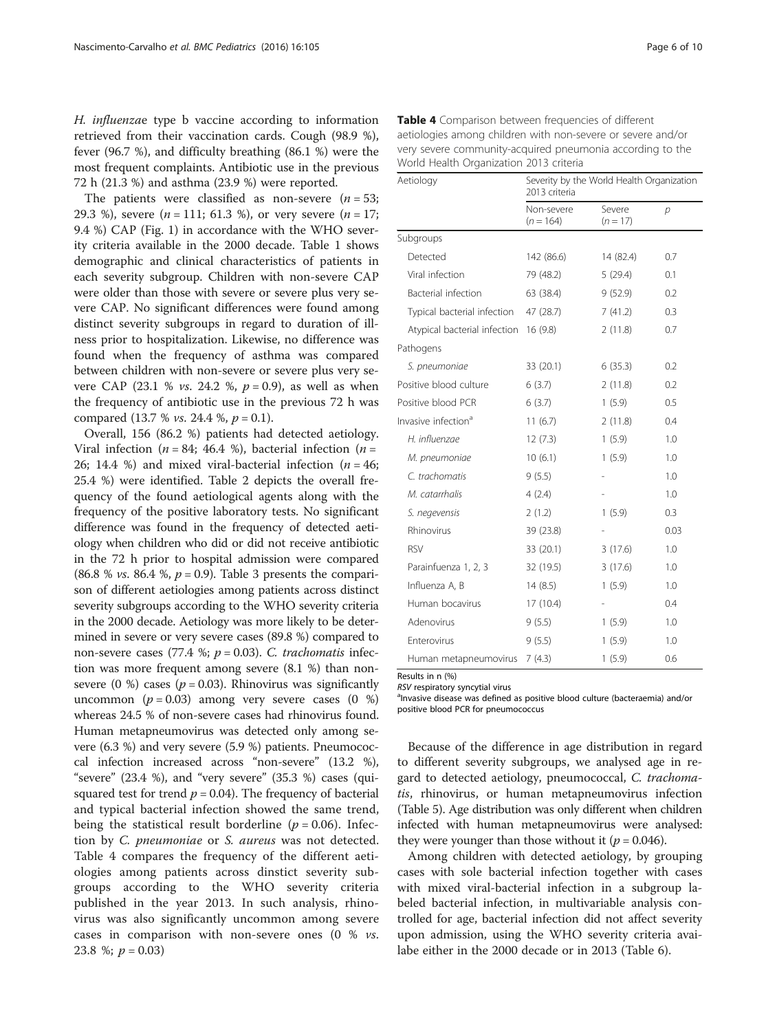<span id="page-5-0"></span>H. influenzae type b vaccine according to information retrieved from their vaccination cards. Cough (98.9 %), fever (96.7 %), and difficulty breathing (86.1 %) were the most frequent complaints. Antibiotic use in the previous 72 h (21.3 %) and asthma (23.9 %) were reported.

The patients were classified as non-severe  $(n = 53)$ ; 29.3 %), severe  $(n = 111; 61.3$  %), or very severe  $(n = 17;$ 9.4 %) CAP (Fig. [1\)](#page-2-0) in accordance with the WHO severity criteria available in the 2000 decade. Table [1](#page-3-0) shows demographic and clinical characteristics of patients in each severity subgroup. Children with non-severe CAP were older than those with severe or severe plus very severe CAP. No significant differences were found among distinct severity subgroups in regard to duration of illness prior to hospitalization. Likewise, no difference was found when the frequency of asthma was compared between children with non-severe or severe plus very severe CAP (23.1 % *vs.* 24.2 %,  $p = 0.9$ ), as well as when the frequency of antibiotic use in the previous 72 h was compared (13.7 % *vs.* 24.4 %,  $p = 0.1$ ).

Overall, 156 (86.2 %) patients had detected aetiology. Viral infection ( $n = 84$ ; 46.4 %), bacterial infection ( $n =$ 26; 14.4 %) and mixed viral-bacterial infection  $(n = 46;$ 25.4 %) were identified. Table [2](#page-3-0) depicts the overall frequency of the found aetiological agents along with the frequency of the positive laboratory tests. No significant difference was found in the frequency of detected aetiology when children who did or did not receive antibiotic in the 72 h prior to hospital admission were compared (86.8 % *vs.* 86.4 %,  $p = 0.9$ ). Table [3](#page-4-0) presents the comparison of different aetiologies among patients across distinct severity subgroups according to the WHO severity criteria in the 2000 decade. Aetiology was more likely to be determined in severe or very severe cases (89.8 %) compared to non-severe cases (77.4 %;  $p = 0.03$ ). C. trachomatis infection was more frequent among severe (8.1 %) than nonsevere (0 %) cases ( $p = 0.03$ ). Rhinovirus was significantly uncommon ( $p = 0.03$ ) among very severe cases (0 %) whereas 24.5 % of non-severe cases had rhinovirus found. Human metapneumovirus was detected only among severe (6.3 %) and very severe (5.9 %) patients. Pneumococcal infection increased across "non-severe" (13.2 %), "severe"  $(23.4 \%)$ , and "very severe"  $(35.3 \%)$  cases  $(qui$ squared test for trend  $p = 0.04$ ). The frequency of bacterial and typical bacterial infection showed the same trend, being the statistical result borderline ( $p = 0.06$ ). Infection by C. pneumoniae or S. aureus was not detected. Table 4 compares the frequency of the different aetiologies among patients across dinstict severity subgroups according to the WHO severity criteria published in the year 2013. In such analysis, rhinovirus was also significantly uncommon among severe cases in comparison with non-severe ones  $(0 \% vs.$ 23.8 %;  $p = 0.03$ )

| Aetiology                             | Severity by the World Health Organization<br>2013 criteria |                      |      |  |
|---------------------------------------|------------------------------------------------------------|----------------------|------|--|
|                                       | Non-severe<br>$(n = 164)$                                  | Severe<br>$(n = 17)$ | р    |  |
| Subgroups                             |                                                            |                      |      |  |
| Detected                              | 142 (86.6)                                                 | 14 (82.4)            | 0.7  |  |
| Viral infection                       | 79 (48.2)                                                  | 5(29.4)              | 0.1  |  |
| Bacterial infection                   | 63 (38.4)                                                  | 9(52.9)              | 0.2  |  |
| Typical bacterial infection           | 47 (28.7)                                                  | 7(41.2)              | 0.3  |  |
| Atypical bacterial infection 16 (9.8) |                                                            | 2(11.8)              | 0.7  |  |
| Pathogens                             |                                                            |                      |      |  |
| S. pneumoniae                         | 33 (20.1)                                                  | 6(35.3)              | 0.2  |  |
| Positive blood culture                | 6(3.7)                                                     | 2(11.8)              | 0.2  |  |
| Positive blood PCR                    | 6(3.7)                                                     | 1(5.9)               | 0.5  |  |
| Invasive infection <sup>a</sup>       | 11(6.7)                                                    | 2(11.8)              | 0.4  |  |
| H. influenzae                         | 12(7.3)                                                    | 1(5.9)               | 1.0  |  |
| M. pneumoniae                         | 10(6.1)                                                    | 1(5.9)               | 1.0  |  |
| C. trachomatis                        | 9(5.5)                                                     |                      | 1.0  |  |
| M. catarrhalis                        | 4(2.4)                                                     |                      | 1.0  |  |
| S. negevensis                         | 2(1.2)                                                     | 1(5.9)               | 0.3  |  |
| Rhinovirus                            | 39 (23.8)                                                  |                      | 0.03 |  |
| <b>RSV</b>                            | 33 (20.1)                                                  | 3(17.6)              | 1.0  |  |
| Parainfuenza 1, 2, 3                  | 32 (19.5)                                                  | 3(17.6)              | 1.0  |  |
| Influenza A, B                        | 14(8.5)                                                    | 1(5.9)               | 1.0  |  |
| Human bocavirus                       | 17(10.4)                                                   |                      | 0.4  |  |
| Adenovirus                            | 9(5.5)                                                     | 1(5.9)               | 1.0  |  |
| Enterovirus                           | 9(5.5)                                                     | 1(5.9)               | 1.0  |  |
| Human metapneumovirus                 | 7(4.3)                                                     | 1(5.9)               | 0.6  |  |

Table 4 Comparison between frequencies of different aetiologies among children with non-severe or severe and/or very severe community-acquired pneumonia according to the World Health Organization 2013 criteria

Results in n (%)

RSV respiratory syncytial virus

<sup>a</sup>Invasive disease was defined as positive blood culture (bacteraemia) and/or positive blood PCR for pneumococcus

Because of the difference in age distribution in regard to different severity subgroups, we analysed age in regard to detected aetiology, pneumococcal, C. trachomatis, rhinovirus, or human metapneumovirus infection (Table [5](#page-6-0)). Age distribution was only different when children infected with human metapneumovirus were analysed: they were younger than those without it ( $p = 0.046$ ).

Among children with detected aetiology, by grouping cases with sole bacterial infection together with cases with mixed viral-bacterial infection in a subgroup labeled bacterial infection, in multivariable analysis controlled for age, bacterial infection did not affect severity upon admission, using the WHO severity criteria availabe either in the 2000 decade or in 2013 (Table [6](#page-6-0)).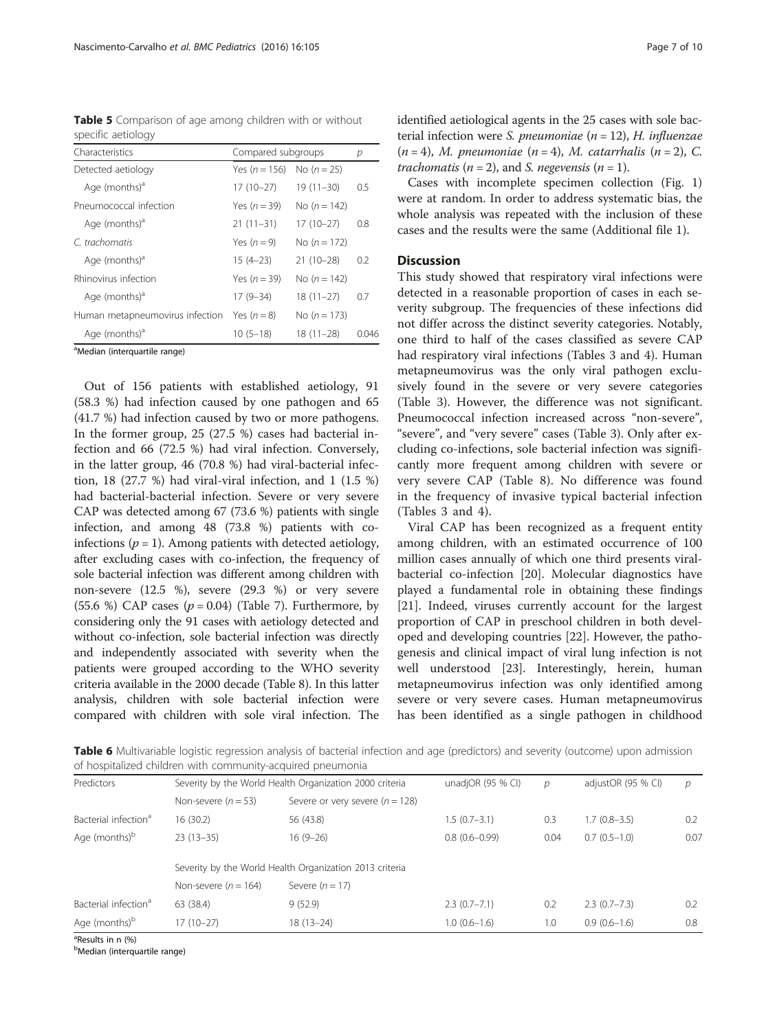<span id="page-6-0"></span>Table 5 Comparison of age among children with or without specific aetiology

| Characteristics                 | Compared subgroups |                | р    |
|---------------------------------|--------------------|----------------|------|
| Detected aetiology              | Yes $(n = 156)$    | No $(n = 25)$  |      |
| Age (months) <sup>a</sup>       | $17(10-27)$        | $19(11-30)$    | 0.5  |
| Pneumococcal infection          | Yes $(n = 39)$     | No $(n = 142)$ |      |
| Age (months) <sup>a</sup>       | $21(11-31)$        | $17(10-27)$    | 0.8  |
| C. trachomatis                  | Yes $(n=9)$        | No $(n = 172)$ |      |
| Age (months) <sup>d</sup>       | $15(4-23)$         | $21(10-28)$    | 0.2  |
| Rhinovirus infection            | Yes $(n = 39)$     | No $(n = 142)$ |      |
| Age (months) <sup>a</sup>       | $17(9-34)$         | $18(11-27)$    | 0.7  |
| Human metapneumovirus infection | Yes $(n=8)$        | No $(n = 173)$ |      |
| Age (months) <sup>a</sup>       | $10(5-18)$         | $18(11-28)$    | 0046 |

<sup>a</sup>Median (interquartile range)

Out of 156 patients with established aetiology, 91 (58.3 %) had infection caused by one pathogen and 65 (41.7 %) had infection caused by two or more pathogens. In the former group, 25 (27.5 %) cases had bacterial infection and 66 (72.5 %) had viral infection. Conversely, in the latter group, 46 (70.8 %) had viral-bacterial infection, 18 (27.7 %) had viral-viral infection, and 1 (1.5 %) had bacterial-bacterial infection. Severe or very severe CAP was detected among 67 (73.6 %) patients with single infection, and among 48 (73.8 %) patients with coinfections ( $p = 1$ ). Among patients with detected aetiology, after excluding cases with co-infection, the frequency of sole bacterial infection was different among children with non-severe (12.5 %), severe (29.3 %) or very severe (55.6 %) CAP cases  $(p = 0.04)$  (Table [7](#page-7-0)). Furthermore, by considering only the 91 cases with aetiology detected and without co-infection, sole bacterial infection was directly and independently associated with severity when the patients were grouped according to the WHO severity criteria available in the 2000 decade (Table [8\)](#page-7-0). In this latter analysis, children with sole bacterial infection were compared with children with sole viral infection. The identified aetiological agents in the 25 cases with sole bacterial infection were *S. pneumoniae*  $(n = 12)$ , *H. influenzae*  $(n = 4)$ , M. pneumoniae  $(n = 4)$ , M. catarrhalis  $(n = 2)$ , C. trachomatis ( $n = 2$ ), and *S. negevensis* ( $n = 1$ ).

Cases with incomplete specimen collection (Fig. [1](#page-2-0)) were at random. In order to address systematic bias, the whole analysis was repeated with the inclusion of these cases and the results were the same (Additional file [1](#page-8-0)).

## **Discussion**

This study showed that respiratory viral infections were detected in a reasonable proportion of cases in each severity subgroup. The frequencies of these infections did not differ across the distinct severity categories. Notably, one third to half of the cases classified as severe CAP had respiratory viral infections (Tables [3](#page-4-0) and [4\)](#page-5-0). Human metapneumovirus was the only viral pathogen exclusively found in the severe or very severe categories (Table [3\)](#page-4-0). However, the difference was not significant. Pneumococcal infection increased across "non-severe", "severe", and "very severe" cases (Table [3\)](#page-4-0). Only after excluding co-infections, sole bacterial infection was significantly more frequent among children with severe or very severe CAP (Table [8\)](#page-7-0). No difference was found in the frequency of invasive typical bacterial infection (Tables [3](#page-4-0) and [4\)](#page-5-0).

Viral CAP has been recognized as a frequent entity among children, with an estimated occurrence of 100 million cases annually of which one third presents viralbacterial co-infection [\[20](#page-9-0)]. Molecular diagnostics have played a fundamental role in obtaining these findings [[21\]](#page-9-0). Indeed, viruses currently account for the largest proportion of CAP in preschool children in both developed and developing countries [[22\]](#page-9-0). However, the pathogenesis and clinical impact of viral lung infection is not well understood [[23\]](#page-9-0). Interestingly, herein, human metapneumovirus infection was only identified among severe or very severe cases. Human metapneumovirus has been identified as a single pathogen in childhood

Table 6 Multivariable logistic regression analysis of bacterial infection and age (predictors) and severity (outcome) upon admission of hospitalized children with community-acquired pneumonia

| Predictors                                              | Severity by the World Health Organization 2000 criteria |                                     | unadjOR $(95%$ CI) | р    | adjustOR (95 % CI) | D    |
|---------------------------------------------------------|---------------------------------------------------------|-------------------------------------|--------------------|------|--------------------|------|
|                                                         | Non-severe $(n = 53)$                                   | Severe or very severe ( $n = 128$ ) |                    |      |                    |      |
| Bacterial infection <sup>a</sup>                        | 16(30.2)                                                | 56 (43.8)                           | $1.5(0.7-3.1)$     | 0.3  | $1.7(0.8-3.5)$     | 0.2  |
| Age (months) <sup>b</sup>                               | $23(13-35)$                                             | $16(9-26)$                          | $0.8(0.6 - 0.99)$  | 0.04 | $0.7(0.5-1.0)$     | 0.07 |
| Severity by the World Health Organization 2013 criteria |                                                         |                                     |                    |      |                    |      |
|                                                         | Non-severe $(n = 164)$                                  | Severe $(n = 17)$                   |                    |      |                    |      |
| Bacterial infection <sup>a</sup>                        | 63 (38.4)                                               | 9(52.9)                             | $2.3(0.7 - 7.1)$   | 0.2  | $2.3(0.7 - 7.3)$   | 0.2  |
| Age (months) <sup>b</sup>                               | $17(10-27)$                                             | $18(13 - 24)$                       | $1.0(0.6-1.6)$     | 1.0  | $0.9(0.6-1.6)$     | 0.8  |

<sup>a</sup>Results in n (%)

<sup>b</sup>Median (interquartile range)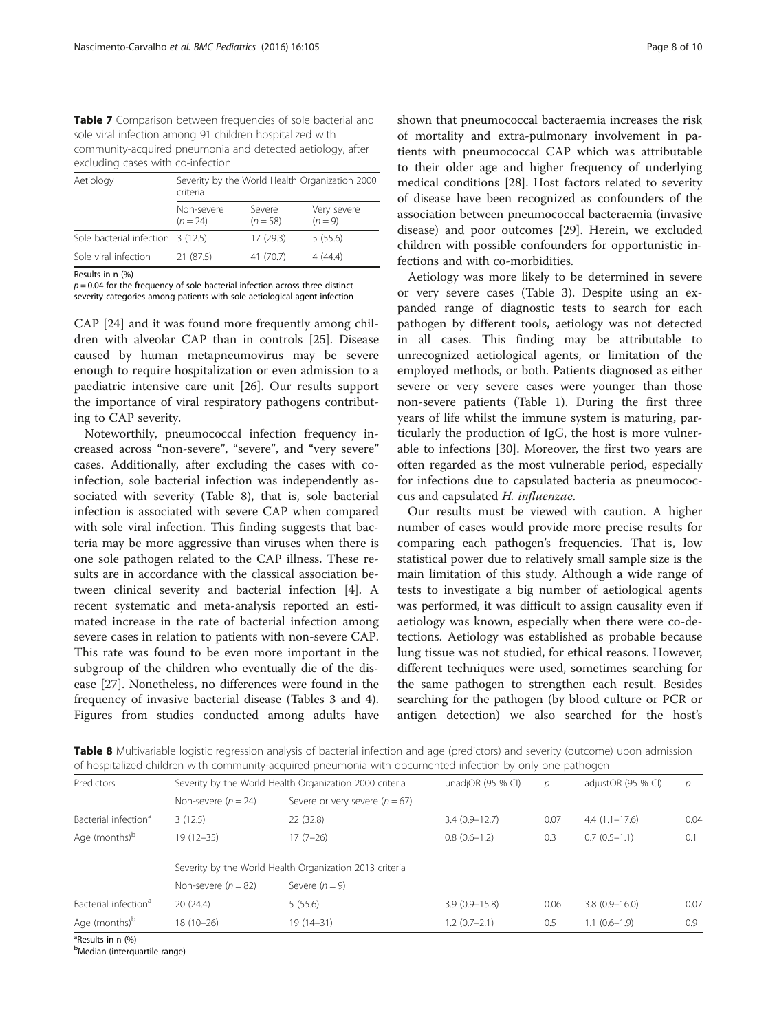<span id="page-7-0"></span>Table 7 Comparison between frequencies of sole bacterial and sole viral infection among 91 children hospitalized with community-acquired pneumonia and detected aetiology, after excluding cases with co-infection

| Aetiology                         | Severity by the World Health Organization 2000<br>criteria |                      |                          |  |  |
|-----------------------------------|------------------------------------------------------------|----------------------|--------------------------|--|--|
|                                   | Non-severe<br>$(n = 24)$                                   | Severe<br>$(n = 58)$ | Very severe<br>$(n = 9)$ |  |  |
| Sole bacterial infection 3 (12.5) |                                                            | 17(29.3)             | 5(55.6)                  |  |  |
| Sole viral infection              | 21 (87.5)                                                  | 41 (70.7)            | 4(44.4)                  |  |  |

Results in n (%)

 $p = 0.04$  for the frequency of sole bacterial infection across three distinct severity categories among patients with sole aetiological agent infection

CAP [\[24](#page-9-0)] and it was found more frequently among children with alveolar CAP than in controls [\[25\]](#page-9-0). Disease caused by human metapneumovirus may be severe enough to require hospitalization or even admission to a paediatric intensive care unit [\[26\]](#page-9-0). Our results support the importance of viral respiratory pathogens contributing to CAP severity.

Noteworthily, pneumococcal infection frequency increased across "non-severe", "severe", and "very severe" cases. Additionally, after excluding the cases with coinfection, sole bacterial infection was independently associated with severity (Table 8), that is, sole bacterial infection is associated with severe CAP when compared with sole viral infection. This finding suggests that bacteria may be more aggressive than viruses when there is one sole pathogen related to the CAP illness. These results are in accordance with the classical association between clinical severity and bacterial infection [\[4](#page-9-0)]. A recent systematic and meta-analysis reported an estimated increase in the rate of bacterial infection among severe cases in relation to patients with non-severe CAP. This rate was found to be even more important in the subgroup of the children who eventually die of the disease [\[27](#page-9-0)]. Nonetheless, no differences were found in the frequency of invasive bacterial disease (Tables [3](#page-4-0) and [4](#page-5-0)). Figures from studies conducted among adults have

shown that pneumococcal bacteraemia increases the risk of mortality and extra-pulmonary involvement in patients with pneumococcal CAP which was attributable to their older age and higher frequency of underlying medical conditions [\[28\]](#page-9-0). Host factors related to severity of disease have been recognized as confounders of the association between pneumococcal bacteraemia (invasive disease) and poor outcomes [[29\]](#page-9-0). Herein, we excluded children with possible confounders for opportunistic infections and with co-morbidities.

Aetiology was more likely to be determined in severe or very severe cases (Table [3\)](#page-4-0). Despite using an expanded range of diagnostic tests to search for each pathogen by different tools, aetiology was not detected in all cases. This finding may be attributable to unrecognized aetiological agents, or limitation of the employed methods, or both. Patients diagnosed as either severe or very severe cases were younger than those non-severe patients (Table [1](#page-3-0)). During the first three years of life whilst the immune system is maturing, particularly the production of IgG, the host is more vulnerable to infections [\[30](#page-9-0)]. Moreover, the first two years are often regarded as the most vulnerable period, especially for infections due to capsulated bacteria as pneumococcus and capsulated H. influenzae.

Our results must be viewed with caution. A higher number of cases would provide more precise results for comparing each pathogen's frequencies. That is, low statistical power due to relatively small sample size is the main limitation of this study. Although a wide range of tests to investigate a big number of aetiological agents was performed, it was difficult to assign causality even if aetiology was known, especially when there were co-detections. Aetiology was established as probable because lung tissue was not studied, for ethical reasons. However, different techniques were used, sometimes searching for the same pathogen to strengthen each result. Besides searching for the pathogen (by blood culture or PCR or antigen detection) we also searched for the host's

Table 8 Multivariable logistic regression analysis of bacterial infection and age (predictors) and severity (outcome) upon admission of hospitalized children with community-acquired pneumonia with documented infection by only one pathogen

| Predictors                       |                       | Severity by the World Health Organization 2000 criteria | unadjOR (95 % CI) | р    | adjustOR (95 % CI) | р    |
|----------------------------------|-----------------------|---------------------------------------------------------|-------------------|------|--------------------|------|
|                                  | Non-severe $(n = 24)$ | Severe or very severe $(n = 67)$                        |                   |      |                    |      |
| Bacterial infection <sup>a</sup> | 3(12.5)               | 22 (32.8)                                               | $3.4(0.9-12.7)$   | 0.07 | $4.4(1.1-17.6)$    | 0.04 |
| Age (months) <sup>b</sup>        | $19(12 - 35)$         | $17(7-26)$                                              | $0.8(0.6-1.2)$    | 0.3  | $0.7(0.5-1.1)$     | 0.1  |
|                                  |                       | Severity by the World Health Organization 2013 criteria |                   |      |                    |      |
|                                  | Non-severe $(n = 82)$ | Severe $(n = 9)$                                        |                   |      |                    |      |
| Bacterial infection <sup>a</sup> | 20(24.4)              | 5(55.6)                                                 | $3.9(0.9 - 15.8)$ | 0.06 | $3.8(0.9 - 16.0)$  | 0.07 |
| Age (months) <sup>b</sup>        | $18(10-26)$           | $19(14-31)$                                             | $1.2(0.7-2.1)$    | 0.5  | $1.1(0.6-1.9)$     | 0.9  |

<sup>a</sup>Results in n (%)

<sup>b</sup>Median (interquartile range)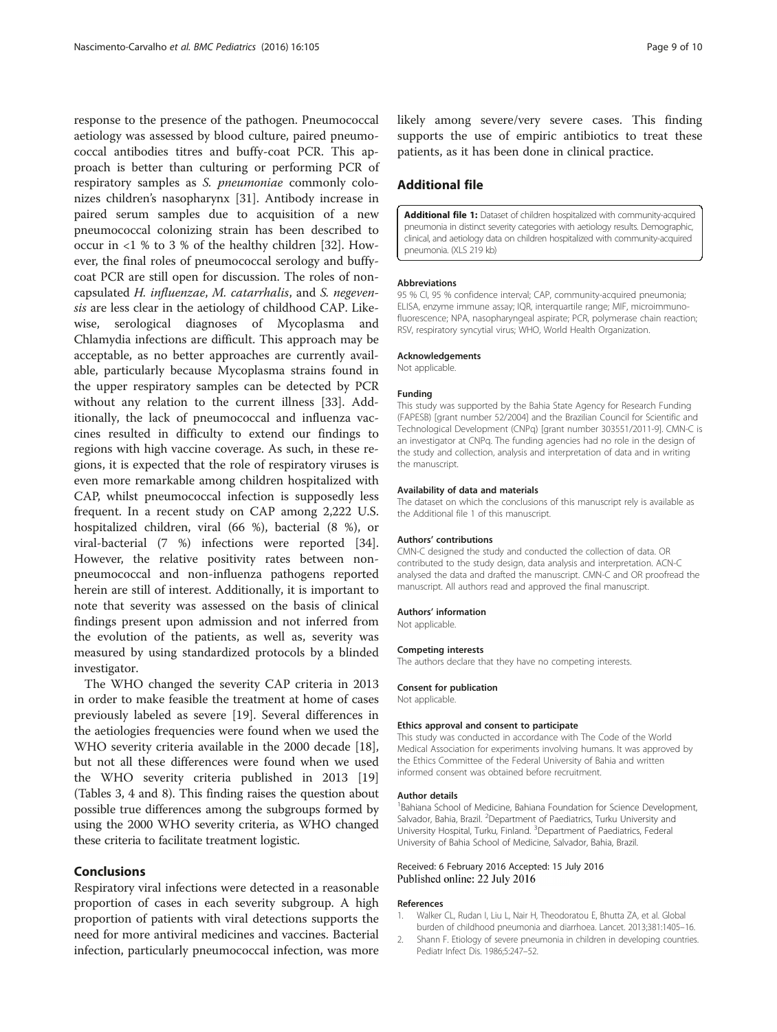<span id="page-8-0"></span>response to the presence of the pathogen. Pneumococcal aetiology was assessed by blood culture, paired pneumococcal antibodies titres and buffy-coat PCR. This approach is better than culturing or performing PCR of respiratory samples as S. pneumoniae commonly colonizes children's nasopharynx [[31](#page-9-0)]. Antibody increase in paired serum samples due to acquisition of a new pneumococcal colonizing strain has been described to occur in <1 % to 3 % of the healthy children [[32\]](#page-9-0). However, the final roles of pneumococcal serology and buffycoat PCR are still open for discussion. The roles of noncapsulated H. influenzae, M. catarrhalis, and S. negevensis are less clear in the aetiology of childhood CAP. Likewise, serological diagnoses of Mycoplasma and Chlamydia infections are difficult. This approach may be acceptable, as no better approaches are currently available, particularly because Mycoplasma strains found in the upper respiratory samples can be detected by PCR without any relation to the current illness [\[33](#page-9-0)]. Additionally, the lack of pneumococcal and influenza vaccines resulted in difficulty to extend our findings to regions with high vaccine coverage. As such, in these regions, it is expected that the role of respiratory viruses is even more remarkable among children hospitalized with CAP, whilst pneumococcal infection is supposedly less frequent. In a recent study on CAP among 2,222 U.S. hospitalized children, viral (66 %), bacterial (8 %), or viral-bacterial (7 %) infections were reported [\[34](#page-9-0)]. However, the relative positivity rates between nonpneumococcal and non-influenza pathogens reported herein are still of interest. Additionally, it is important to note that severity was assessed on the basis of clinical findings present upon admission and not inferred from the evolution of the patients, as well as, severity was measured by using standardized protocols by a blinded investigator.

The WHO changed the severity CAP criteria in 2013 in order to make feasible the treatment at home of cases previously labeled as severe [\[19](#page-9-0)]. Several differences in the aetiologies frequencies were found when we used the WHO severity criteria available in the 2000 decade [\[18](#page-9-0)], but not all these differences were found when we used the WHO severity criteria published in 2013 [[19](#page-9-0)] (Tables [3](#page-4-0), [4](#page-5-0) and [8](#page-7-0)). This finding raises the question about possible true differences among the subgroups formed by using the 2000 WHO severity criteria, as WHO changed these criteria to facilitate treatment logistic.

### Conclusions

Respiratory viral infections were detected in a reasonable proportion of cases in each severity subgroup. A high proportion of patients with viral detections supports the need for more antiviral medicines and vaccines. Bacterial infection, particularly pneumococcal infection, was more likely among severe/very severe cases. This finding supports the use of empiric antibiotics to treat these patients, as it has been done in clinical practice.

## Additional file

[Additional file 1:](dx.doi.org/10.1186/s12887-016-0645-3) Dataset of children hospitalized with community-acquired pneumonia in distinct severity categories with aetiology results. Demographic, clinical, and aetiology data on children hospitalized with community-acquired pneumonia. (XLS 219 kb)

#### **Abbreviations**

95 % CI, 95 % confidence interval; CAP, community-acquired pneumonia; ELISA, enzyme immune assay; IQR, interquartile range; MIF, microimmunofluorescence; NPA, nasopharyngeal aspirate; PCR, polymerase chain reaction; RSV, respiratory syncytial virus; WHO, World Health Organization.

## Acknowledgements

Not applicable.

#### Funding

This study was supported by the Bahia State Agency for Research Funding (FAPESB) [grant number 52/2004] and the Brazilian Council for Scientific and Technological Development (CNPq) [grant number 303551/2011-9]. CMN-C is an investigator at CNPq. The funding agencies had no role in the design of the study and collection, analysis and interpretation of data and in writing the manuscript.

#### Availability of data and materials

The dataset on which the conclusions of this manuscript rely is available as the Additional file 1 of this manuscript.

#### Authors' contributions

CMN-C designed the study and conducted the collection of data. OR contributed to the study design, data analysis and interpretation. ACN-C analysed the data and drafted the manuscript. CMN-C and OR proofread the manuscript. All authors read and approved the final manuscript.

#### Authors' information

Not applicable.

#### Competing interests

The authors declare that they have no competing interests.

#### Consent for publication

Not applicable.

#### Ethics approval and consent to participate

This study was conducted in accordance with The Code of the World Medical Association for experiments involving humans. It was approved by the Ethics Committee of the Federal University of Bahia and written informed consent was obtained before recruitment.

#### Author details

<sup>1</sup>Bahiana School of Medicine, Bahiana Foundation for Science Development Salvador, Bahia, Brazil. <sup>2</sup>Department of Paediatrics, Turku University and University Hospital, Turku, Finland. <sup>3</sup>Department of Paediatrics, Federal University of Bahia School of Medicine, Salvador, Bahia, Brazil.

## Received: 6 February 2016 Accepted: 15 July 2016 Published online: 22 July 2016

#### References

- 1. Walker CL, Rudan I, Liu L, Nair H, Theodoratou E, Bhutta ZA, et al. Global burden of childhood pneumonia and diarrhoea. Lancet. 2013;381:1405–16.
- 2. Shann F. Etiology of severe pneumonia in children in developing countries. Pediatr Infect Dis. 1986;5:247–52.